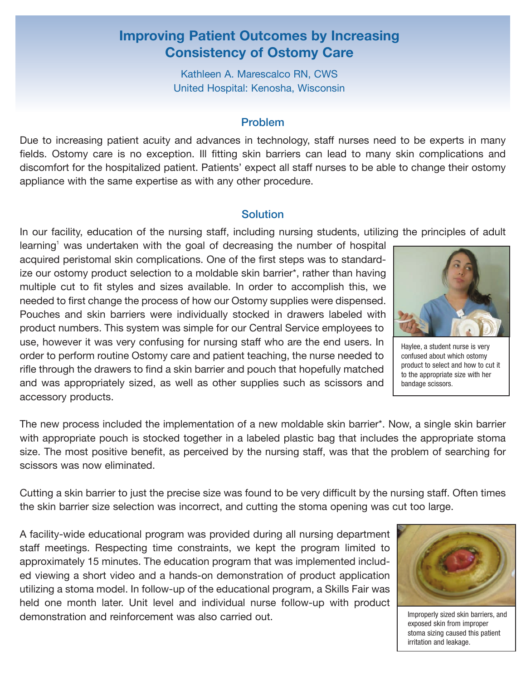# **Improving Patient Outcomes by Increasing Consistency of Ostomy Care**

Kathleen A. Marescalco RN, CWS United Hospital: Kenosha, Wisconsin

#### Problem

Due to increasing patient acuity and advances in technology, staff nurses need to be experts in many fields. Ostomy care is no exception. Ill fitting skin barriers can lead to many skin complications and discomfort for the hospitalized patient. Patients' expect all staff nurses to be able to change their ostomy appliance with the same expertise as with any other procedure.

#### **Solution**

In our facility, education of the nursing staff, including nursing students, utilizing the principles of adult

 $learning<sup>1</sup>$  was undertaken with the goal of decreasing the number of hospital acquired peristomal skin complications. One of the first steps was to standardize our ostomy product selection to a moldable skin barrier\*, rather than having multiple cut to fit styles and sizes available. In order to accomplish this, we needed to first change the process of how our Ostomy supplies were dispensed. Pouches and skin barriers were individually stocked in drawers labeled with product numbers. This system was simple for our Central Service employees to use, however it was very confusing for nursing staff who are the end users. In order to perform routine Ostomy care and patient teaching, the nurse needed to rifle through the drawers to find a skin barrier and pouch that hopefully matched and was appropriately sized, as well as other supplies such as scissors and accessory products.

The new process included the implementation of a new moldable skin barrier\*. Now, a single skin barrier with appropriate pouch is stocked together in a labeled plastic bag that includes the appropriate stoma size. The most positive benefit, as perceived by the nursing staff, was that the problem of searching for scissors was now eliminated.

Cutting a skin barrier to just the precise size was found to be very difficult by the nursing staff. Often times the skin barrier size selection was incorrect, and cutting the stoma opening was cut too large.

A facility-wide educational program was provided during all nursing department staff meetings. Respecting time constraints, we kept the program limited to approximately 15 minutes. The education program that was implemented included viewing a short video and a hands-on demonstration of product application utilizing a stoma model. In follow-up of the educational program, a Skills Fair was held one month later. Unit level and individual nurse follow-up with product demonstration and reinforcement was also carried out.

Improperly sized skin barriers, and exposed skin from improper stoma sizing caused this patient irritation and leakage.